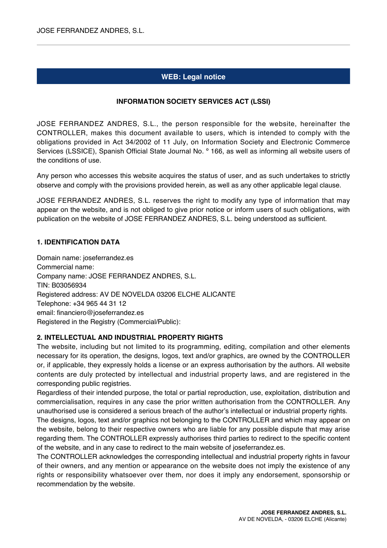# **WEB: Legal notice**

### **INFORMATION SOCIETY SERVICES ACT (LSSI)**

JOSE FERRANDEZ ANDRES, S.L., the person responsible for the website, hereinafter the CONTROLLER, makes this document available to users, which is intended to comply with the obligations provided in Act 34/2002 of 11 July, on Information Society and Electronic Commerce Services (LSSICE), Spanish Official State Journal No. º 166, as well as informing all website users of the conditions of use.

Any person who accesses this website acquires the status of user, and as such undertakes to strictly observe and comply with the provisions provided herein, as well as any other applicable legal clause.

JOSE FERRANDEZ ANDRES, S.L. reserves the right to modify any type of information that may appear on the website, and is not obliged to give prior notice or inform users of such obligations, with publication on the website of JOSE FERRANDEZ ANDRES, S.L. being understood as sufficient.

### **1. IDENTIFICATION DATA**

Domain name: joseferrandez.es Commercial name: Company name: JOSE FERRANDEZ ANDRES, S.L. TIN: B03056934 Registered address: AV DE NOVELDA 03206 ELCHE ALICANTE Telephone: +34 965 44 31 12 email: financiero@joseferrandez.es Registered in the Registry (Commercial/Public):

#### **2. INTELLECTUAL AND INDUSTRIAL PROPERTY RIGHTS**

The website, including but not limited to its programming, editing, compilation and other elements necessary for its operation, the designs, logos, text and/or graphics, are owned by the CONTROLLER or, if applicable, they expressly holds a license or an express authorisation by the authors. All website contents are duly protected by intellectual and industrial property laws, and are registered in the corresponding public registries.

Regardless of their intended purpose, the total or partial reproduction, use, exploitation, distribution and commercialisation, requires in any case the prior written authorisation from the CONTROLLER. Any unauthorised use is considered a serious breach of the author's intellectual or industrial property rights.

The designs, logos, text and/or graphics not belonging to the CONTROLLER and which may appear on the website, belong to their respective owners who are liable for any possible dispute that may arise regarding them. The CONTROLLER expressly authorises third parties to redirect to the specific content of the website, and in any case to redirect to the main website of joseferrandez.es.

The CONTROLLER acknowledges the corresponding intellectual and industrial property rights in favour of their owners, and any mention or appearance on the website does not imply the existence of any rights or responsibility whatsoever over them, nor does it imply any endorsement, sponsorship or recommendation by the website.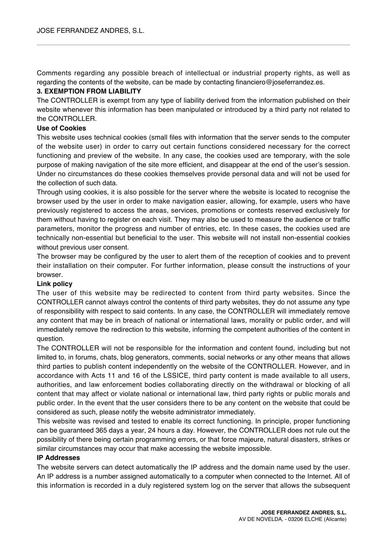Comments regarding any possible breach of intellectual or industrial property rights, as well as regarding the contents of the website, can be made by contacting financiero@joseferrandez.es.

### **3. EXEMPTION FROM LIABILITY**

The CONTROLLER is exempt from any type of liability derived from the information published on their website whenever this information has been manipulated or introduced by a third party not related to the CONTROLLER.

### **Use of Cookies**

This website uses technical cookies (small files with information that the server sends to the computer of the website user) in order to carry out certain functions considered necessary for the correct functioning and preview of the website. In any case, the cookies used are temporary, with the sole purpose of making navigation of the site more efficient, and disappear at the end of the user's session. Under no circumstances do these cookies themselves provide personal data and will not be used for the collection of such data.

Through using cookies, it is also possible for the server where the website is located to recognise the browser used by the user in order to make navigation easier, allowing, for example, users who have previously registered to access the areas, services, promotions or contests reserved exclusively for them without having to register on each visit. They may also be used to measure the audience or traffic parameters, monitor the progress and number of entries, etc. In these cases, the cookies used are technically non-essential but beneficial to the user. This website will not install non-essential cookies without previous user consent.

The browser may be configured by the user to alert them of the reception of cookies and to prevent their installation on their computer. For further information, please consult the instructions of your browser.

#### **Link policy**

The user of this website may be redirected to content from third party websites. Since the CONTROLLER cannot always control the contents of third party websites, they do not assume any type of responsibility with respect to said contents. In any case, the CONTROLLER will immediately remove any content that may be in breach of national or international laws, morality or public order, and will immediately remove the redirection to this website, informing the competent authorities of the content in question.

The CONTROLLER will not be responsible for the information and content found, including but not limited to, in forums, chats, blog generators, comments, social networks or any other means that allows third parties to publish content independently on the website of the CONTROLLER. However, and in accordance with Acts 11 and 16 of the LSSICE, third party content is made available to all users, authorities, and law enforcement bodies collaborating directly on the withdrawal or blocking of all content that may affect or violate national or international law, third party rights or public morals and public order. In the event that the user considers there to be any content on the website that could be considered as such, please notify the website administrator immediately.

This website was revised and tested to enable its correct functioning. In principle, proper functioning can be guaranteed 365 days a year, 24 hours a day. However, the CONTROLLER does not rule out the possibility of there being certain programming errors, or that force majeure, natural disasters, strikes or similar circumstances may occur that make accessing the website impossible.

#### **IP Addresses**

The website servers can detect automatically the IP address and the domain name used by the user. An IP address is a number assigned automatically to a computer when connected to the Internet. All of this information is recorded in a duly registered system log on the server that allows the subsequent